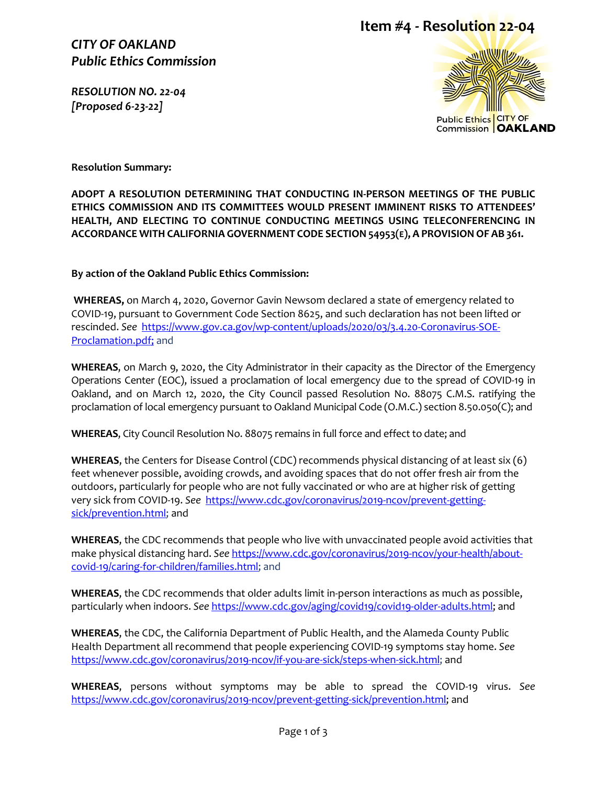#### *CITY OF OAKLAND Public Ethics Commission*

*RESOLUTION NO. 22-04 [Proposed 6-23-22]* 

## **Item #4 - Resolution 22-04**



**Resolution Summary:**

**ADOPT A RESOLUTION DETERMINING THAT CONDUCTING IN-PERSON MEETINGS OF THE PUBLIC ETHICS COMMISSION AND ITS COMMITTEES WOULD PRESENT IMMINENT RISKS TO ATTENDEES' HEALTH, AND ELECTING TO CONTINUE CONDUCTING MEETINGS USING TELECONFERENCING IN ACCORDANCE WITH CALIFORNIA GOVERNMENT CODE SECTION 54953(E), A PROVISIONOF AB 361.**

**By action of the Oakland Public Ethics Commission:**

**WHEREAS,** on March 4, 2020, Governor Gavin Newsom declared a state of emergency related to COVID-19, pursuant to Government Code Section 8625, and such declaration has not been lifted or rescinded. *See* [https://www.gov.ca.gov/wp-content/uploads/2020/03/3.4.20-Coronavirus-SOE-](https://www.gov.ca.gov/wp-content/uploads/2020/03/3.4.20-Coronavirus-SOE-Proclamation.pdf)[Proclamation.pdf;](https://www.gov.ca.gov/wp-content/uploads/2020/03/3.4.20-Coronavirus-SOE-Proclamation.pdf) and

**WHEREAS**, on March 9, 2020, the City Administrator in their capacity as the Director of the Emergency Operations Center (EOC), issued a proclamation of local emergency due to the spread of COVID-19 in Oakland, and on March 12, 2020, the City Council passed Resolution No. 88075 C.M.S. ratifying the proclamation of local emergency pursuant to Oakland Municipal Code (O.M.C.) section 8.50.050(C); and

**WHEREAS**, City Council Resolution No. 88075 remains in full force and effect to date; and

**WHEREAS**, the Centers for Disease Control (CDC) recommends physical distancing of at least six (6) feet whenever possible, avoiding crowds, and avoiding spaces that do not offer fresh air from the outdoors, particularly for people who are not fully vaccinated or who are at higher risk of getting very sick from COVID-19. *See* [https://www.cdc.gov/coronavirus/2019-ncov/prevent-getting](https://www.cdc.gov/coronavirus/2019-ncov/prevent-getting-sick/prevention.html)[sick/prevention.html;](https://www.cdc.gov/coronavirus/2019-ncov/prevent-getting-sick/prevention.html) and

**WHEREAS**, the CDC recommends that people who live with unvaccinated people avoid activities that make physical distancing hard. *See* [https://www.cdc.gov/coronavirus/2019-ncov/your-health/about](https://www.cdc.gov/coronavirus/2019-ncov/your-health/about-covid-19/caring-for-children/families.html)[covid-19/caring-for-children/families.html;](https://www.cdc.gov/coronavirus/2019-ncov/your-health/about-covid-19/caring-for-children/families.html) and

**WHEREAS**, the CDC recommends that older adults limit in-person interactions as much as possible, particularly when indoors. *See* [https://www.cdc.gov/aging/covid19/covid19-older-adults.html;](https://www.cdc.gov/aging/covid19/covid19-older-adults.html) and

**WHEREAS**, the CDC, the California Department of Public Health, and the Alameda County Public Health Department all recommend that people experiencing COVID-19 symptoms stay home. *See* [https://www.cdc.gov/coronavirus/2019-ncov/if-you-are-sick/steps-when-sick.html;](https://www.cdc.gov/coronavirus/2019-ncov/if-you-are-sick/steps-when-sick.html) and

**WHEREAS**, persons without symptoms may be able to spread the COVID-19 virus. *See*  [https://www.cdc.gov/coronavirus/2019-ncov/prevent-getting-sick/prevention.html;](https://www.cdc.gov/coronavirus/2019-ncov/prevent-getting-sick/prevention.html) and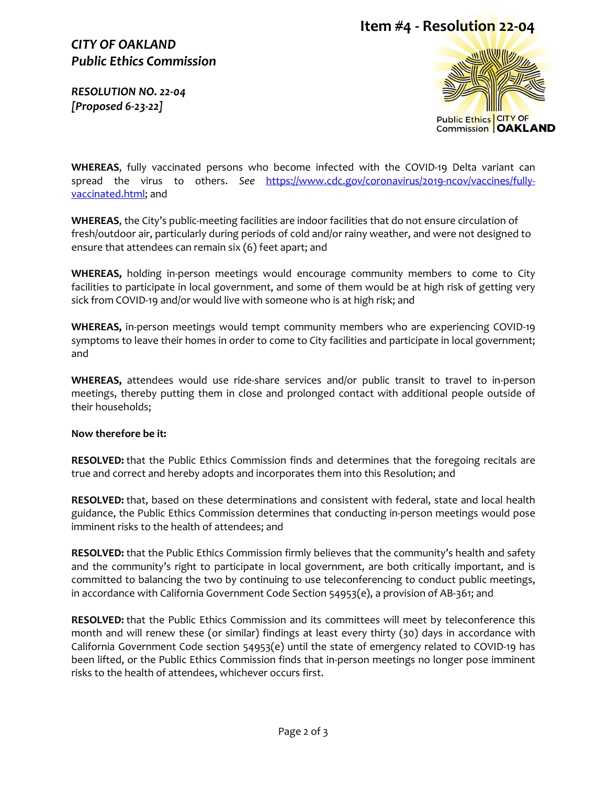# **Item #4 - Resolution 22-04**

## *CITY OF OAKLAND Public Ethics Commission*

*RESOLUTION NO. 22-04 [Proposed 6-23-22]* 



**WHEREAS**, fully vaccinated persons who become infected with the COVID-19 Delta variant can spread the virus to others. *See* [https://www.cdc.gov/coronavirus/2019-ncov/vaccines/fully](https://www.cdc.gov/coronavirus/2019-ncov/vaccines/fully-vaccinated.html)[vaccinated.html;](https://www.cdc.gov/coronavirus/2019-ncov/vaccines/fully-vaccinated.html) and

**WHEREAS**, the City's public-meeting facilities are indoor facilities that do not ensure circulation of fresh/outdoor air, particularly during periods of cold and/or rainy weather, and were not designed to ensure that attendees can remain six (6) feet apart; and

**WHEREAS,** holding in-person meetings would encourage community members to come to City facilities to participate in local government, and some of them would be at high risk of getting very sick from COVID-19 and/or would live with someone who is at high risk; and

**WHEREAS,** in-person meetings would tempt community members who are experiencing COVID-19 symptoms to leave their homes in order to come to City facilities and participate in local government; and

**WHEREAS,** attendees would use ride-share services and/or public transit to travel to in-person meetings, thereby putting them in close and prolonged contact with additional people outside of their households;

#### **Now therefore be it:**

**RESOLVED:** that the Public Ethics Commission finds and determines that the foregoing recitals are true and correct and hereby adopts and incorporates them into this Resolution; and

**RESOLVED:** that, based on these determinations and consistent with federal, state and local health guidance, the Public Ethics Commission determines that conducting in-person meetings would pose imminent risks to the health of attendees; and

**RESOLVED:** that the Public Ethics Commission firmly believes that the community's health and safety and the community's right to participate in local government, are both critically important, and is committed to balancing the two by continuing to use teleconferencing to conduct public meetings, in accordance with California Government Code Section 54953(e), a provision of AB-361; and

**RESOLVED:** that the Public Ethics Commission and its committees will meet by teleconference this month and will renew these (or similar) findings at least every thirty (30) days in accordance with California Government Code section 54953(e) until the state of emergency related to COVID-19 has been lifted, or the Public Ethics Commission finds that in-person meetings no longer pose imminent risks to the health of attendees, whichever occurs first.